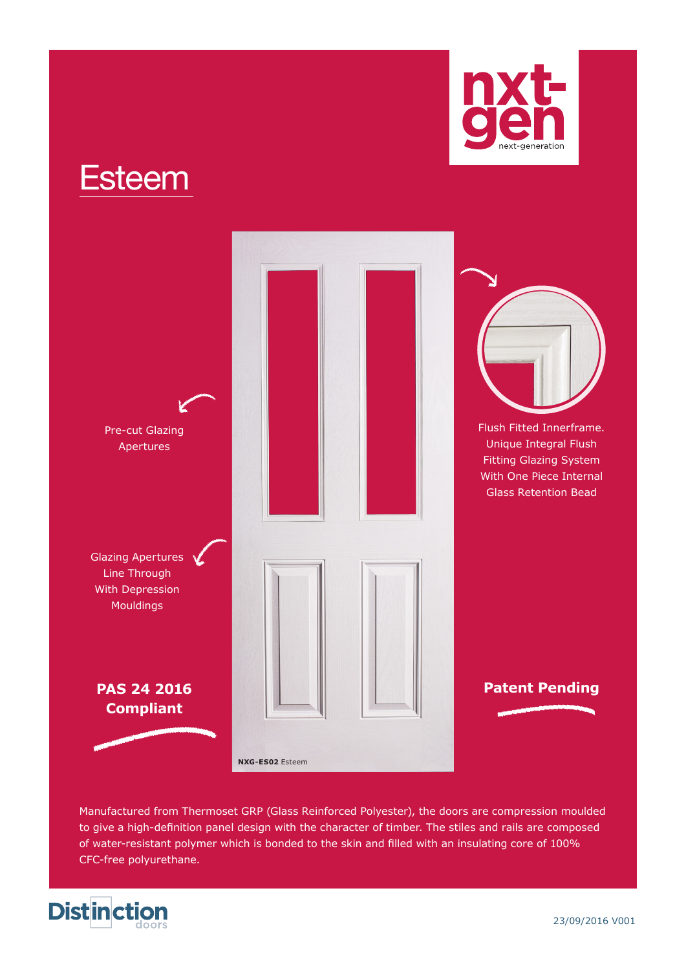



Manufactured from Thermoset GRP (Glass Reinforced Polyester), the doors are compression moulded to give a high-definition panel design with the character of timber. The stiles and rails are composed of water-resistant polymer which is bonded to the skin and filled with an insulating core of 100% CFC-free polyurethane.